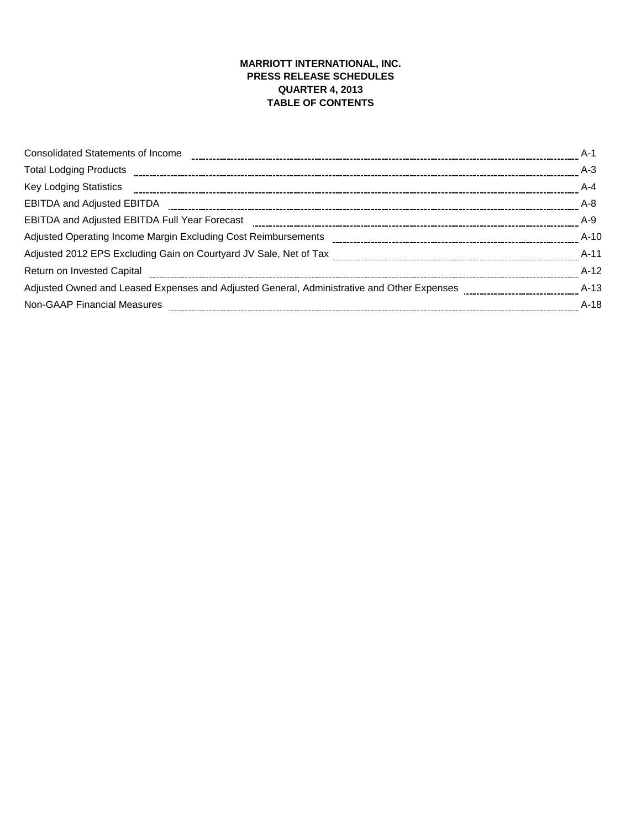## **MARRIOTT INTERNATIONAL, INC. PRESS RELEASE SCHEDULES QUARTER 4, 2013 TABLE OF CONTENTS**

| <b>Consolidated Statements of Income</b>                                                                                                                                                                                       | A-1     |
|--------------------------------------------------------------------------------------------------------------------------------------------------------------------------------------------------------------------------------|---------|
| Total Lodging Products [11,1001] [12,1001] Products [12,1001] [12,1001] Total Lodging Products [12,1001] Total Lodging Products [12,1001] Total Lodging Products [12,1001] Total Miller Total Miller Total Miller Total Miller | $A-3$   |
|                                                                                                                                                                                                                                | $A - 4$ |
| <b>EBITDA and Adjusted EBITDA</b>                                                                                                                                                                                              | $A - 8$ |
| EBITDA and Adjusted EBITDA Full Year Forecast [1011] [1011] [1012] results and Adjusted EBITDA and Adjusted EBITDA Full Year Forecast [1011] [1011] [1011] [1011] [1011] [1012] [1012] [1012] [1012] [1012] [1012] [1012] [101 | A-9     |
|                                                                                                                                                                                                                                | $A-10$  |
|                                                                                                                                                                                                                                | $A-11$  |
|                                                                                                                                                                                                                                | $A-12$  |
| Adjusted Owned and Leased Expenses and Adjusted General, Administrative and Other Expenses [1011] Adjusted Owned and Leased Expenses [1012] Adjusted Renarch Magnetics and Adjusted B                                          | $A-13$  |
| <b>Non-GAAP Financial Measures</b>                                                                                                                                                                                             | $A-18$  |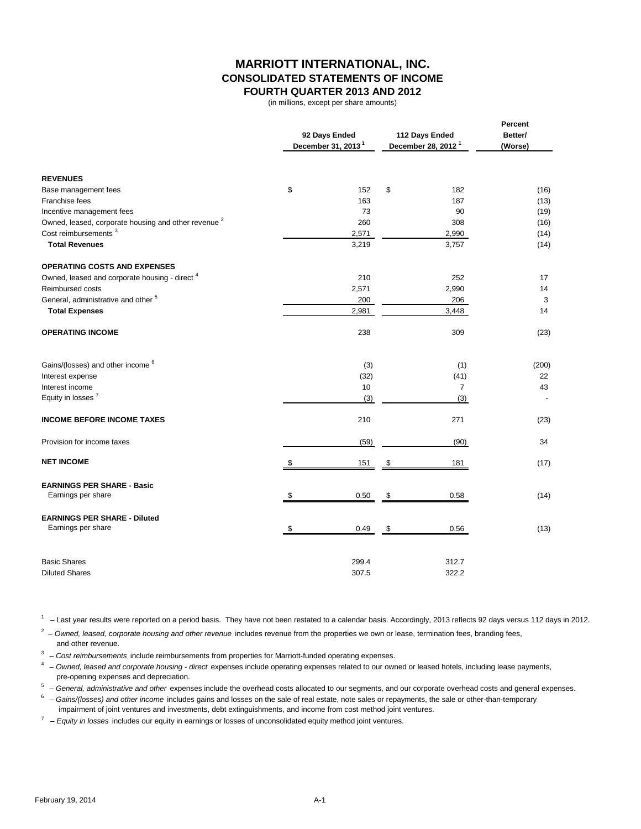## **MARRIOTT INTERNATIONAL, INC. CONSOLIDATED STATEMENTS OF INCOME FOURTH QUARTER 2013 AND 2012**

(in millions, except per share amounts)

|                                                                 | 92 Days Ended                  | 112 Days Ended                 | Percent<br>Better/ |
|-----------------------------------------------------------------|--------------------------------|--------------------------------|--------------------|
|                                                                 | December 31, 2013 <sup>1</sup> | December 28, 2012 <sup>1</sup> | (Worse)            |
| <b>REVENUES</b>                                                 |                                |                                |                    |
| Base management fees                                            | \$<br>152                      | \$<br>182                      | (16)               |
| Franchise fees                                                  | 163                            | 187                            | (13)               |
| Incentive management fees                                       | 73                             | 90                             | (19)               |
| Owned, leased, corporate housing and other revenue <sup>2</sup> | 260                            | 308                            | (16)               |
| Cost reimbursements <sup>3</sup>                                | 2,571                          | 2,990                          | (14)               |
| <b>Total Revenues</b>                                           | 3,219                          | 3,757                          | (14)               |
| <b>OPERATING COSTS AND EXPENSES</b>                             |                                |                                |                    |
| Owned, leased and corporate housing - direct <sup>4</sup>       | 210                            | 252                            | 17                 |
| <b>Reimbursed costs</b>                                         | 2,571                          | 2,990                          | 14                 |
| General, administrative and other <sup>5</sup>                  | 200                            | 206                            | 3                  |
| <b>Total Expenses</b>                                           | 2,981                          | 3,448                          | 14                 |
| <b>OPERATING INCOME</b>                                         | 238                            | 309                            | (23)               |
| Gains/(losses) and other income <sup>6</sup>                    | (3)                            | (1)                            | (200)              |
| Interest expense                                                | (32)                           | (41)                           | 22                 |
| Interest income                                                 | 10                             | $\overline{7}$                 | 43                 |
| Equity in losses <sup>7</sup>                                   | (3)                            | (3)                            |                    |
| <b>INCOME BEFORE INCOME TAXES</b>                               | 210                            | 271                            | (23)               |
| Provision for income taxes                                      | (59)                           | (90)                           | 34                 |
| <b>NET INCOME</b>                                               | 151                            | \$<br>181                      | (17)               |
| <b>EARNINGS PER SHARE - Basic</b>                               |                                |                                |                    |
| Earnings per share                                              | \$<br>0.50                     | \$<br>0.58                     | (14)               |
| <b>EARNINGS PER SHARE - Diluted</b>                             |                                |                                |                    |
| Earnings per share                                              | \$<br>0.49                     | \$<br>0.56                     | (13)               |
| <b>Basic Shares</b>                                             | 299.4                          | 312.7                          |                    |
| <b>Diluted Shares</b>                                           | 307.5                          | 322.2                          |                    |

 $1 -$  Last year results were reported on a period basis. They have not been restated to a calendar basis. Accordingly, 2013 reflects 92 days versus 112 days in 2012.

<sup>2</sup> - Owned, leased, corporate housing and other revenue includes revenue from the properties we own or lease, termination fees, branding fees, and other revenue.

<sup>3</sup> – Cost reimbursements include reimbursements from properties for Marriott-funded operating expenses.

4 – *Owned, leased and corporate housing - direct* expenses include operating expenses related to our owned or leased hotels, including lease payments, pre-opening expenses and depreciation.

5 – *General, administrative and other* expenses include the overhead costs allocated to our segments, and our corporate overhead costs and general expenses.

6 – *Gains/(losses) and other income* includes gains and losses on the sale of real estate, note sales or repayments, the sale or other-than-temporary impairment of joint ventures and investments, debt extinguishments, and income from cost method joint ventures.

7 – *Equity in losses* includes our equity in earnings or losses of unconsolidated equity method joint ventures.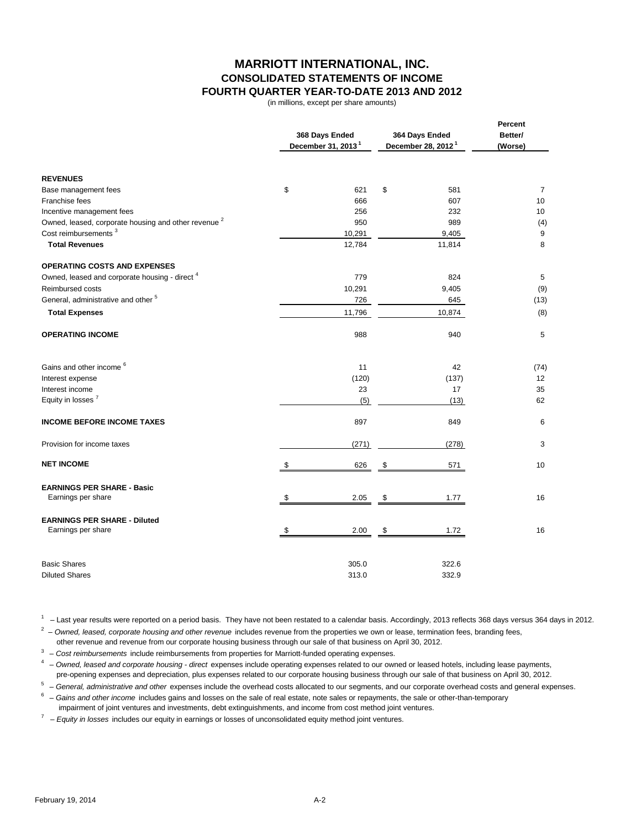## **MARRIOTT INTERNATIONAL, INC. CONSOLIDATED STATEMENTS OF INCOME FOURTH QUARTER YEAR-TO-DATE 2013 AND 2012**

(in millions, except per share amounts)

|                                                                 | 368 Days Ended<br>December 31, 2013 <sup>1</sup> | 364 Days Ended<br>December 28, 2012 <sup>1</sup> | Percent<br>Better/<br>(Worse) |  |
|-----------------------------------------------------------------|--------------------------------------------------|--------------------------------------------------|-------------------------------|--|
| <b>REVENUES</b>                                                 |                                                  |                                                  |                               |  |
| Base management fees                                            | \$<br>621                                        | \$<br>581                                        | $\overline{7}$                |  |
| Franchise fees                                                  | 666                                              | 607                                              | 10                            |  |
| Incentive management fees                                       | 256                                              | 232                                              | 10                            |  |
| Owned, leased, corporate housing and other revenue <sup>2</sup> | 950                                              | 989                                              | (4)                           |  |
| Cost reimbursements <sup>3</sup>                                | 10,291                                           | 9,405                                            | 9                             |  |
| <b>Total Revenues</b>                                           | 12,784                                           | 11,814                                           | 8                             |  |
| <b>OPERATING COSTS AND EXPENSES</b>                             |                                                  |                                                  |                               |  |
| Owned, leased and corporate housing - direct <sup>4</sup>       | 779                                              | 824                                              | 5                             |  |
| Reimbursed costs                                                | 10,291                                           | 9,405                                            | (9)                           |  |
| General, administrative and other <sup>5</sup>                  | 726                                              | 645                                              | (13)                          |  |
| <b>Total Expenses</b>                                           | 11,796                                           | 10,874                                           | (8)                           |  |
| <b>OPERATING INCOME</b>                                         | 988                                              | 940                                              | 5                             |  |
| Gains and other income <sup>6</sup>                             | 11                                               | 42                                               | (74)                          |  |
| Interest expense                                                | (120)                                            | (137)                                            | 12                            |  |
| Interest income                                                 | 23                                               | 17                                               | 35                            |  |
| Equity in losses <sup>7</sup>                                   | (5)                                              | (13)                                             | 62                            |  |
| <b>INCOME BEFORE INCOME TAXES</b>                               | 897                                              | 849                                              | 6                             |  |
| Provision for income taxes                                      | (271)                                            | (278)                                            | 3                             |  |
| <b>NET INCOME</b>                                               | \$<br>626                                        | \$<br>571                                        | 10                            |  |
| <b>EARNINGS PER SHARE - Basic</b>                               |                                                  |                                                  |                               |  |
| Earnings per share                                              | \$<br>2.05                                       | \$<br>1.77                                       | 16                            |  |
| <b>EARNINGS PER SHARE - Diluted</b>                             |                                                  |                                                  |                               |  |
| Earnings per share                                              | \$<br>2.00                                       | \$<br>1.72                                       | 16                            |  |
| <b>Basic Shares</b>                                             | 305.0                                            | 322.6                                            |                               |  |
| <b>Diluted Shares</b>                                           | 313.0                                            | 332.9                                            |                               |  |

 $1 -$  Last year results were reported on a period basis. They have not been restated to a calendar basis. Accordingly, 2013 reflects 368 days versus 364 days in 2012.

<sup>2</sup> – Owned, leased, corporate housing and other revenue includes revenue from the properties we own or lease, termination fees, branding fees,

other revenue and revenue from our corporate housing business through our sale of that business on April 30, 2012.

<sup>3</sup> – Cost reimbursements include reimbursements from properties for Marriott-funded operating expenses. 4 – *Owned, leased and corporate housing - direct* expenses include operating expenses related to our owned or leased hotels, including lease payments,

pre-opening expenses and depreciation, plus expenses related to our corporate housing business through our sale of that business on April 30, 2012.

5 – *General, administrative and other* expenses include the overhead costs allocated to our segments, and our corporate overhead costs and general expenses.

6 – *Gains and other income* includes gains and losses on the sale of real estate, note sales or repayments, the sale or other-than-temporary impairment of joint ventures and investments, debt extinguishments, and income from cost method joint ventures.

7 – *Equity in losses* includes our equity in earnings or losses of unconsolidated equity method joint ventures.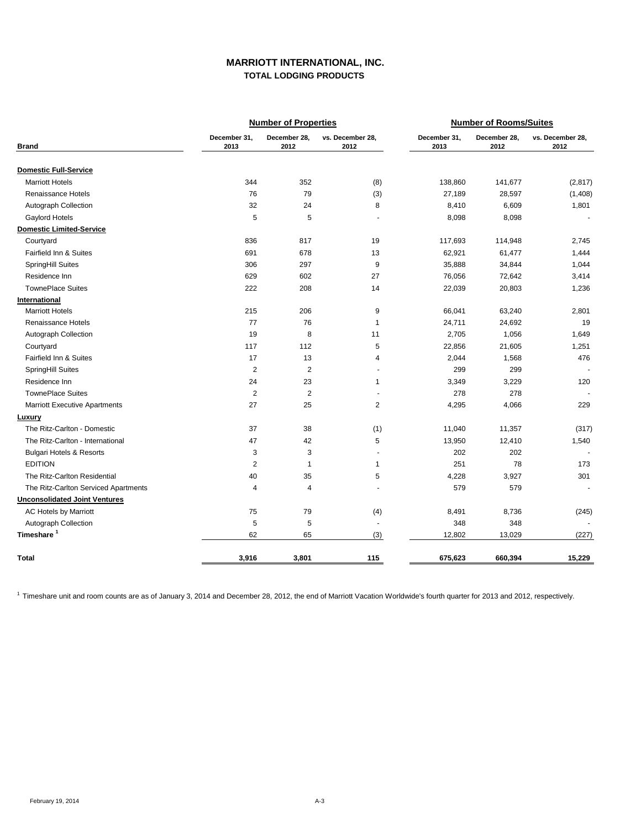### **MARRIOTT INTERNATIONAL, INC. TOTAL LODGING PRODUCTS**

|                                      |                      | <b>Number of Properties</b> |                          | <b>Number of Rooms/Suites</b> |                      |                          |  |
|--------------------------------------|----------------------|-----------------------------|--------------------------|-------------------------------|----------------------|--------------------------|--|
| <b>Brand</b>                         | December 31,<br>2013 | December 28,<br>2012        | vs. December 28,<br>2012 | December 31,<br>2013          | December 28,<br>2012 | vs. December 28,<br>2012 |  |
| <b>Domestic Full-Service</b>         |                      |                             |                          |                               |                      |                          |  |
| <b>Marriott Hotels</b>               | 344                  | 352                         | (8)                      | 138,860                       | 141,677              | (2, 817)                 |  |
| Renaissance Hotels                   | 76                   | 79                          | (3)                      | 27,189                        | 28,597               | (1,408)                  |  |
| Autograph Collection                 | 32                   | 24                          | 8                        | 8,410                         | 6,609                | 1,801                    |  |
| Gaylord Hotels                       | 5                    | 5                           | ÷.                       | 8,098                         | 8,098                | $\sim$                   |  |
| <b>Domestic Limited-Service</b>      |                      |                             |                          |                               |                      |                          |  |
| Courtyard                            | 836                  | 817                         | 19                       | 117,693                       | 114,948              | 2,745                    |  |
| Fairfield Inn & Suites               | 691                  | 678                         | 13                       | 62,921                        | 61,477               | 1,444                    |  |
| SpringHill Suites                    | 306                  | 297                         | 9                        | 35,888                        | 34,844               | 1,044                    |  |
| Residence Inn                        | 629                  | 602                         | 27                       | 76,056                        | 72,642               | 3,414                    |  |
| <b>TownePlace Suites</b>             | 222                  | 208                         | 14                       | 22,039                        | 20,803               | 1,236                    |  |
| International                        |                      |                             |                          |                               |                      |                          |  |
| <b>Marriott Hotels</b>               | 215                  | 206                         | 9                        | 66,041                        | 63,240               | 2,801                    |  |
| Renaissance Hotels                   | 77                   | 76                          | $\mathbf{1}$             | 24,711                        | 24,692               | 19                       |  |
| Autograph Collection                 | 19                   | 8                           | 11                       | 2,705                         | 1,056                | 1,649                    |  |
| Courtyard                            | 117                  | 112                         | 5                        | 22,856                        | 21,605               | 1,251                    |  |
| Fairfield Inn & Suites               | 17                   | 13                          | $\overline{4}$           | 2,044                         | 1,568                | 476                      |  |
| SpringHill Suites                    | $\overline{2}$       | $\overline{2}$              | $\sim$                   | 299                           | 299                  |                          |  |
| Residence Inn                        | 24                   | 23                          | $\mathbf{1}$             | 3,349                         | 3,229                | 120                      |  |
| <b>TownePlace Suites</b>             | $\overline{2}$       | $\overline{2}$              |                          | 278                           | 278                  |                          |  |
| <b>Marriott Executive Apartments</b> | 27                   | 25                          | 2                        | 4,295                         | 4,066                | 229                      |  |
| <b>Luxury</b>                        |                      |                             |                          |                               |                      |                          |  |
| The Ritz-Carlton - Domestic          | 37                   | 38                          | (1)                      | 11,040                        | 11,357               | (317)                    |  |
| The Ritz-Carlton - International     | 47                   | 42                          | 5                        | 13,950                        | 12,410               | 1,540                    |  |
| <b>Bulgari Hotels &amp; Resorts</b>  | 3                    | 3                           | $\overline{a}$           | 202                           | 202                  |                          |  |
| <b>EDITION</b>                       | $\overline{c}$       | $\mathbf{1}$                | $\mathbf{1}$             | 251                           | 78                   | 173                      |  |
| The Ritz-Carlton Residential         | 40                   | 35                          | 5                        | 4,228                         | 3,927                | 301                      |  |
| The Ritz-Carlton Serviced Apartments | $\overline{4}$       | $\overline{4}$              |                          | 579                           | 579                  |                          |  |
| <b>Unconsolidated Joint Ventures</b> |                      |                             |                          |                               |                      |                          |  |
| AC Hotels by Marriott                | 75                   | 79                          | (4)                      | 8,491                         | 8,736                | (245)                    |  |
| Autograph Collection                 | 5                    | 5                           | $\sim$                   | 348                           | 348                  |                          |  |
| Timeshare <sup>1</sup>               | 62                   | 65                          | (3)                      | 12,802                        | 13,029               | (227)                    |  |
| <b>Total</b>                         | 3,916                | 3,801                       | 115                      | 675,623                       | 660,394              | 15,229                   |  |

<sup>1</sup> Timeshare unit and room counts are as of January 3, 2014 and December 28, 2012, the end of Marriott Vacation Worldwide's fourth quarter for 2013 and 2012, respectively.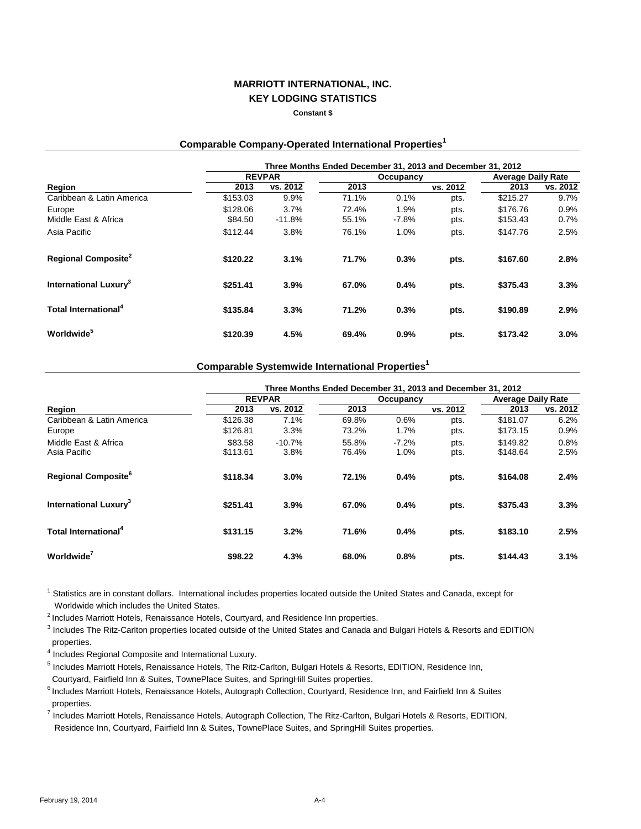#### **Constant \$**

### **Comparable Company-Operated International Properties<sup>1</sup>**

|                                   | Three Months Ended December 31, 2013 and December 31, 2012 |          |       |           |          |                           |          |  |  |  |  |
|-----------------------------------|------------------------------------------------------------|----------|-------|-----------|----------|---------------------------|----------|--|--|--|--|
|                                   | <b>REVPAR</b>                                              |          |       | Occupancy |          | <b>Average Daily Rate</b> |          |  |  |  |  |
| Region                            | 2013                                                       | vs. 2012 | 2013  |           | vs. 2012 | 2013                      | vs. 2012 |  |  |  |  |
| Caribbean & Latin America         | \$153.03                                                   | 9.9%     | 71.1% | 0.1%      | pts.     | \$215.27                  | 9.7%     |  |  |  |  |
| Europe                            | \$128.06                                                   | 3.7%     | 72.4% | 1.9%      | pts.     | \$176.76                  | 0.9%     |  |  |  |  |
| Middle East & Africa              | \$84.50                                                    | $-11.8%$ | 55.1% | $-7.8%$   | pts.     | \$153.43                  | $0.7\%$  |  |  |  |  |
| Asia Pacific                      | \$112.44                                                   | 3.8%     | 76.1% | 1.0%      | pts.     | \$147.76                  | 2.5%     |  |  |  |  |
| Regional Composite <sup>2</sup>   | \$120.22                                                   | 3.1%     | 71.7% | 0.3%      | pts.     | \$167.60                  | 2.8%     |  |  |  |  |
| International Luxury <sup>3</sup> | \$251.41                                                   | 3.9%     | 67.0% | 0.4%      | pts.     | \$375.43                  | 3.3%     |  |  |  |  |
| Total International <sup>4</sup>  | \$135.84                                                   | 3.3%     | 71.2% | 0.3%      | pts.     | \$190.89                  | 2.9%     |  |  |  |  |
| <b>Worldwide</b> <sup>5</sup>     | \$120.39                                                   | 4.5%     | 69.4% | 0.9%      | pts.     | \$173.42                  | $3.0\%$  |  |  |  |  |

## **Comparable Systemwide International Properties<sup>1</sup>**

|                                        | Three Months Ended December 31, 2013 and December 31, 2012 |                  |                |                  |              |                           |              |  |  |  |
|----------------------------------------|------------------------------------------------------------|------------------|----------------|------------------|--------------|---------------------------|--------------|--|--|--|
|                                        |                                                            | <b>REVPAR</b>    |                | Occupancy        |              | <b>Average Daily Rate</b> |              |  |  |  |
| Region                                 | 2013                                                       | vs. 2012         | 2013           |                  | vs. 2012     | 2013                      | vs. 2012     |  |  |  |
| Caribbean & Latin America<br>Europe    | \$126.38<br>\$126.81                                       | 7.1%<br>3.3%     | 69.8%<br>73.2% | 0.6%<br>1.7%     | pts.<br>pts. | \$181.07<br>\$173.15      | 6.2%<br>0.9% |  |  |  |
| Middle East & Africa<br>Asia Pacific   | \$83.58<br>\$113.61                                        | $-10.7%$<br>3.8% | 55.8%<br>76.4% | $-7.2\%$<br>1.0% | pts.<br>pts. | \$149.82<br>\$148.64      | 0.8%<br>2.5% |  |  |  |
| <b>Regional Composite</b> <sup>6</sup> | \$118.34                                                   | 3.0%             | 72.1%          | 0.4%             | pts.         | \$164.08                  | 2.4%         |  |  |  |
| International Luxury <sup>3</sup>      | \$251.41                                                   | 3.9%             | 67.0%          | 0.4%             | pts.         | \$375.43                  | 3.3%         |  |  |  |
| Total International <sup>4</sup>       | \$131.15                                                   | 3.2%             | 71.6%          | 0.4%             | pts.         | \$183.10                  | 2.5%         |  |  |  |
| Worldwide <sup>'</sup>                 | \$98.22                                                    | 4.3%             | 68.0%          | 0.8%             | pts.         | \$144.43                  | 3.1%         |  |  |  |

<sup>1</sup> Statistics are in constant dollars. International includes properties located outside the United States and Canada, except for Worldwide which includes the United States.

<sup>2</sup> Includes Marriott Hotels, Renaissance Hotels, Courtyard, and Residence Inn properties.

3 Includes The Ritz-Carlton properties located outside of the United States and Canada and Bulgari Hotels & Resorts and EDITION properties.

4 Includes Regional Composite and International Luxury.

<sup>5</sup> Includes Marriott Hotels, Renaissance Hotels, The Ritz-Carlton, Bulgari Hotels & Resorts, EDITION, Residence Inn, Courtyard, Fairfield Inn & Suites, TownePlace Suites, and SpringHill Suites properties.

<sup>6</sup> Includes Marriott Hotels, Renaissance Hotels, Autograph Collection, Courtyard, Residence Inn, and Fairfield Inn & Suites properties.

7 Includes Marriott Hotels, Renaissance Hotels, Autograph Collection, The Ritz-Carlton, Bulgari Hotels & Resorts, EDITION, Residence Inn, Courtyard, Fairfield Inn & Suites, TownePlace Suites, and SpringHill Suites properties.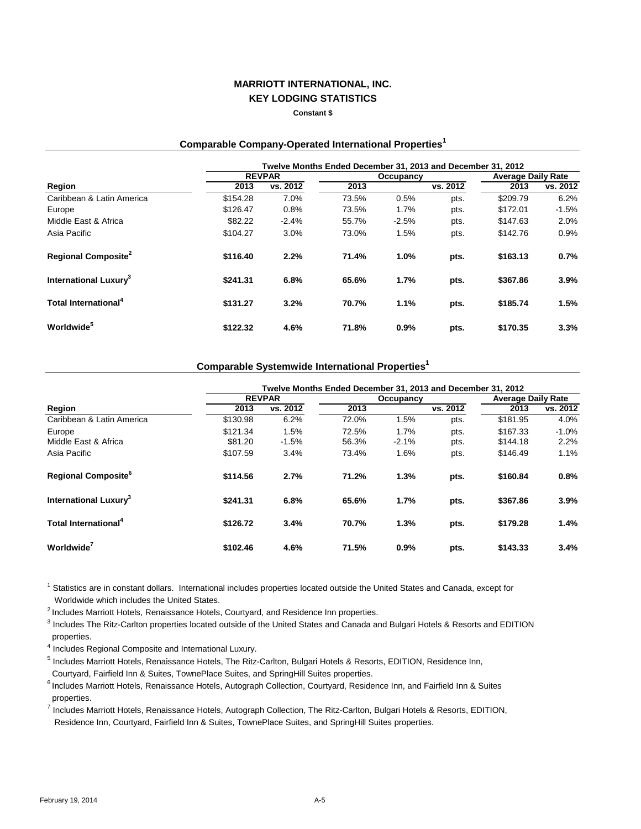#### **Constant \$**

### **Comparable Company-Operated International Properties<sup>1</sup>**

|                                          | Twelve Months Ended December 31, 2013 and December 31, 2012 |               |       |           |          |                           |          |  |  |  |
|------------------------------------------|-------------------------------------------------------------|---------------|-------|-----------|----------|---------------------------|----------|--|--|--|
|                                          |                                                             | <b>REVPAR</b> |       | Occupancy |          | <b>Average Daily Rate</b> |          |  |  |  |
| Region                                   | 2013                                                        | vs. 2012      | 2013  |           | vs. 2012 | 2013                      | vs. 2012 |  |  |  |
| Caribbean & Latin America                | \$154.28                                                    | 7.0%          | 73.5% | 0.5%      | pts.     | \$209.79                  | 6.2%     |  |  |  |
| Europe                                   | \$126.47                                                    | 0.8%          | 73.5% | 1.7%      | pts.     | \$172.01                  | $-1.5%$  |  |  |  |
| Middle East & Africa                     | \$82.22                                                     | $-2.4%$       | 55.7% | $-2.5%$   | pts.     | \$147.63                  | 2.0%     |  |  |  |
| Asia Pacific                             | \$104.27                                                    | 3.0%          | 73.0% | 1.5%      | pts.     | \$142.76                  | 0.9%     |  |  |  |
| <b>Regional Composite<sup>2</sup></b>    | \$116.40                                                    | 2.2%          | 71.4% | 1.0%      | pts.     | \$163.13                  | 0.7%     |  |  |  |
| <b>International Luxury</b> <sup>3</sup> | \$241.31                                                    | 6.8%          | 65.6% | 1.7%      | pts.     | \$367.86                  | 3.9%     |  |  |  |
| Total International <sup>4</sup>         | \$131.27                                                    | 3.2%          | 70.7% | 1.1%      | pts.     | \$185.74                  | 1.5%     |  |  |  |
| <b>Worldwide</b>                         | \$122.32                                                    | 4.6%          | 71.8% | 0.9%      | pts.     | \$170.35                  | 3.3%     |  |  |  |

### **Comparable Systemwide International Properties<sup>1</sup>**

|                                        | Twelve Months Ended December 31, 2013 and December 31, 2012 |               |       |           |          |                           |          |  |  |  |
|----------------------------------------|-------------------------------------------------------------|---------------|-------|-----------|----------|---------------------------|----------|--|--|--|
|                                        |                                                             | <b>REVPAR</b> |       | Occupancy |          | <b>Average Daily Rate</b> |          |  |  |  |
| Region                                 | 2013                                                        | vs. 2012      | 2013  |           | vs. 2012 | 2013                      | vs. 2012 |  |  |  |
| Caribbean & Latin America              | \$130.98                                                    | 6.2%          | 72.0% | 1.5%      | pts.     | \$181.95                  | 4.0%     |  |  |  |
| Europe                                 | \$121.34                                                    | 1.5%          | 72.5% | 1.7%      | pts.     | \$167.33                  | $-1.0%$  |  |  |  |
| Middle East & Africa                   | \$81.20                                                     | $-1.5%$       | 56.3% | $-2.1%$   | pts.     | \$144.18                  | 2.2%     |  |  |  |
| Asia Pacific                           | \$107.59                                                    | 3.4%          | 73.4% | 1.6%      | pts.     | \$146.49                  | 1.1%     |  |  |  |
| <b>Regional Composite</b> <sup>6</sup> | \$114.56                                                    | 2.7%          | 71.2% | 1.3%      | pts.     | \$160.84                  | 0.8%     |  |  |  |
| International Luxury <sup>3</sup>      | \$241.31                                                    | 6.8%          | 65.6% | 1.7%      | pts.     | \$367.86                  | 3.9%     |  |  |  |
| Total International <sup>4</sup>       | \$126.72                                                    | 3.4%          | 70.7% | 1.3%      | pts.     | \$179.28                  | 1.4%     |  |  |  |
| Worldwide <sup>7</sup>                 | \$102.46                                                    | 4.6%          | 71.5% | 0.9%      | pts.     | \$143.33                  | 3.4%     |  |  |  |

<sup>1</sup> Statistics are in constant dollars. International includes properties located outside the United States and Canada, except for Worldwide which includes the United States.

 $<sup>2</sup>$  Includes Marriott Hotels, Renaissance Hotels, Courtyard, and Residence Inn properties.</sup>

<sup>3</sup> Includes The Ritz-Carlton properties located outside of the United States and Canada and Bulgari Hotels & Resorts and EDITION properties.

4 Includes Regional Composite and International Luxury.

<sup>5</sup> Includes Marriott Hotels, Renaissance Hotels, The Ritz-Carlton, Bulgari Hotels & Resorts, EDITION, Residence Inn,

Courtyard, Fairfield Inn & Suites, TownePlace Suites, and SpringHill Suites properties.

<sup>6</sup> Includes Marriott Hotels, Renaissance Hotels, Autograph Collection, Courtyard, Residence Inn, and Fairfield Inn & Suites properties.

7 Includes Marriott Hotels, Renaissance Hotels, Autograph Collection, The Ritz-Carlton, Bulgari Hotels & Resorts, EDITION, Residence Inn, Courtyard, Fairfield Inn & Suites, TownePlace Suites, and SpringHill Suites properties.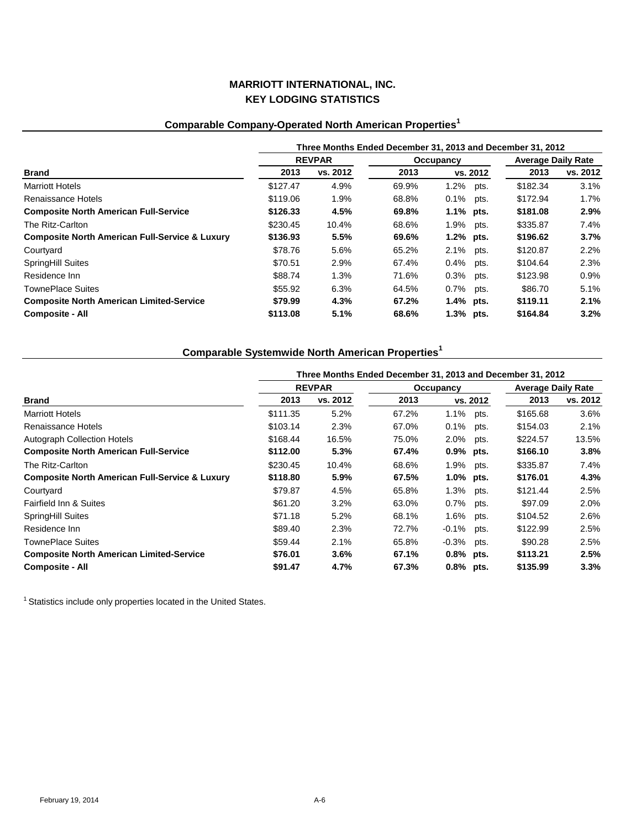# **Comparable Company-Operated North American Properties<sup>1</sup>**

|                                                           | Three Months Ended December 31, 2013 and December 31, 2012 |               |       |                 |          |                           |  |  |  |
|-----------------------------------------------------------|------------------------------------------------------------|---------------|-------|-----------------|----------|---------------------------|--|--|--|
|                                                           |                                                            | <b>REVPAR</b> |       | Occupancy       |          | <b>Average Daily Rate</b> |  |  |  |
| <b>Brand</b>                                              | 2013                                                       | vs. 2012      | 2013  | vs. 2012        | 2013     | vs. 2012                  |  |  |  |
| <b>Marriott Hotels</b>                                    | \$127.47                                                   | 4.9%          | 69.9% | 1.2%<br>pts.    | \$182.34 | 3.1%                      |  |  |  |
| Renaissance Hotels                                        | \$119.06                                                   | 1.9%          | 68.8% | 0.1%<br>pts.    | \$172.94 | 1.7%                      |  |  |  |
| <b>Composite North American Full-Service</b>              | \$126.33                                                   | 4.5%          | 69.8% | $1.1\%$ pts.    | \$181.08 | $2.9\%$                   |  |  |  |
| The Ritz-Carlton                                          | \$230.45                                                   | 10.4%         | 68.6% | 1.9% pts.       | \$335.87 | 7.4%                      |  |  |  |
| <b>Composite North American Full-Service &amp; Luxury</b> | \$136.93                                                   | 5.5%          | 69.6% | 1.2% pts.       | \$196.62 | 3.7%                      |  |  |  |
| Courtyard                                                 | \$78.76                                                    | 5.6%          | 65.2% | 2.1% pts.       | \$120.87 | 2.2%                      |  |  |  |
| <b>SpringHill Suites</b>                                  | \$70.51                                                    | 2.9%          | 67.4% | $0.4\%$<br>pts. | \$104.64 | 2.3%                      |  |  |  |
| Residence Inn                                             | \$88.74                                                    | 1.3%          | 71.6% | 0.3%<br>pts.    | \$123.98 | 0.9%                      |  |  |  |
| <b>TownePlace Suites</b>                                  | \$55.92                                                    | 6.3%          | 64.5% | 0.7% pts.       | \$86.70  | 5.1%                      |  |  |  |
| <b>Composite North American Limited-Service</b>           | \$79.99                                                    | 4.3%          | 67.2% | $1.4\%$ pts.    | \$119.11 | 2.1%                      |  |  |  |
| <b>Composite - All</b>                                    | \$113.08                                                   | 5.1%          | 68.6% | 1.3% pts.       | \$164.84 | $3.2\%$                   |  |  |  |

# **Comparable Systemwide North American Properties<sup>1</sup>**

|                                                           | Three Months Ended December 31, 2013 and December 31, 2012 |               |       |              |          |          |                           |  |  |
|-----------------------------------------------------------|------------------------------------------------------------|---------------|-------|--------------|----------|----------|---------------------------|--|--|
|                                                           |                                                            | <b>REVPAR</b> |       | Occupancy    |          |          | <b>Average Daily Rate</b> |  |  |
| <b>Brand</b>                                              | 2013                                                       | vs. 2012      | 2013  |              | vs. 2012 | 2013     | vs. 2012                  |  |  |
| <b>Marriott Hotels</b>                                    | \$111.35                                                   | 5.2%          | 67.2% | 1.1%         | pts.     | \$165.68 | 3.6%                      |  |  |
| Renaissance Hotels                                        | \$103.14                                                   | 2.3%          | 67.0% | 0.1%         | pts.     | \$154.03 | 2.1%                      |  |  |
| <b>Autograph Collection Hotels</b>                        | \$168.44                                                   | 16.5%         | 75.0% | 2.0%         | pts.     | \$224.57 | 13.5%                     |  |  |
| <b>Composite North American Full-Service</b>              | \$112.00                                                   | 5.3%          | 67.4% | $0.9\%$ pts. |          | \$166.10 | 3.8%                      |  |  |
| The Ritz-Carlton                                          | \$230.45                                                   | 10.4%         | 68.6% | 1.9%         | pts.     | \$335.87 | 7.4%                      |  |  |
| <b>Composite North American Full-Service &amp; Luxury</b> | \$118.80                                                   | 5.9%          | 67.5% | $1.0\%$ pts. |          | \$176.01 | 4.3%                      |  |  |
| Courtyard                                                 | \$79.87                                                    | 4.5%          | 65.8% | 1.3%         | pts.     | \$121.44 | 2.5%                      |  |  |
| Fairfield Inn & Suites                                    | \$61.20                                                    | 3.2%          | 63.0% | $0.7\%$      | pts.     | \$97.09  | 2.0%                      |  |  |
| <b>SpringHill Suites</b>                                  | \$71.18                                                    | 5.2%          | 68.1% | 1.6%         | pts.     | \$104.52 | 2.6%                      |  |  |
| Residence Inn                                             | \$89.40                                                    | 2.3%          | 72.7% | $-0.1\%$     | pts.     | \$122.99 | 2.5%                      |  |  |
| <b>TownePlace Suites</b>                                  | \$59.44                                                    | 2.1%          | 65.8% | $-0.3\%$     | pts.     | \$90.28  | 2.5%                      |  |  |
| <b>Composite North American Limited-Service</b>           | \$76.01                                                    | 3.6%          | 67.1% | $0.8\%$ pts. |          | \$113.21 | 2.5%                      |  |  |
| <b>Composite - All</b>                                    | \$91.47                                                    | 4.7%          | 67.3% | 0.8% pts.    |          | \$135.99 | 3.3%                      |  |  |

1 Statistics include only properties located in the United States.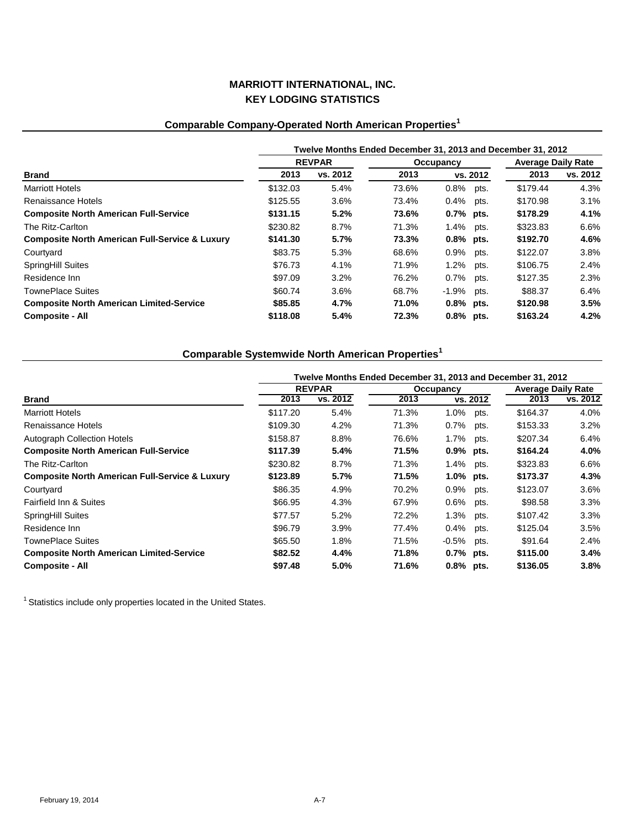# **Comparable Company-Operated North American Properties<sup>1</sup>**

|                                                           | Twelve Months Ended December 31, 2013 and December 31, 2012 |               |           |              |      |                           |          |  |  |
|-----------------------------------------------------------|-------------------------------------------------------------|---------------|-----------|--------------|------|---------------------------|----------|--|--|
|                                                           |                                                             | <b>REVPAR</b> | Occupancy |              |      | <b>Average Daily Rate</b> |          |  |  |
| Brand                                                     | 2013                                                        | vs. 2012      | 2013      | vs. 2012     |      | 2013                      | vs. 2012 |  |  |
| <b>Marriott Hotels</b>                                    | \$132.03                                                    | 5.4%          | 73.6%     | $0.8\%$ pts. |      | \$179.44                  | 4.3%     |  |  |
| Renaissance Hotels                                        | \$125.55                                                    | 3.6%          | 73.4%     | $0.4\%$      | pts. | \$170.98                  | 3.1%     |  |  |
| <b>Composite North American Full-Service</b>              | \$131.15                                                    | 5.2%          | 73.6%     | 0.7% pts.    |      | \$178.29                  | 4.1%     |  |  |
| The Ritz-Carlton                                          | \$230.82                                                    | 8.7%          | 71.3%     | 1.4% pts.    |      | \$323.83                  | 6.6%     |  |  |
| <b>Composite North American Full-Service &amp; Luxury</b> | \$141.30                                                    | 5.7%          | 73.3%     | $0.8\%$ pts. |      | \$192.70                  | 4.6%     |  |  |
| Courtyard                                                 | \$83.75                                                     | 5.3%          | 68.6%     | 0.9% pts.    |      | \$122.07                  | 3.8%     |  |  |
| <b>SpringHill Suites</b>                                  | \$76.73                                                     | 4.1%          | 71.9%     | $1.2\%$      | pts. | \$106.75                  | 2.4%     |  |  |
| Residence Inn                                             | \$97.09                                                     | 3.2%          | 76.2%     | $0.7\%$      | pts. | \$127.35                  | 2.3%     |  |  |
| <b>TownePlace Suites</b>                                  | \$60.74                                                     | 3.6%          | 68.7%     | $-1.9%$ pts. |      | \$88.37                   | 6.4%     |  |  |
| <b>Composite North American Limited-Service</b>           | \$85.85                                                     | 4.7%          | 71.0%     | $0.8\%$ pts. |      | \$120.98                  | 3.5%     |  |  |
| <b>Composite - All</b>                                    | \$118.08                                                    | 5.4%          | 72.3%     | $0.8%$ pts.  |      | \$163.24                  | 4.2%     |  |  |

# **Comparable Systemwide North American Properties<sup>1</sup>**

|                                                           | Twelve Months Ended December 31, 2013 and December 31, 2012 |               |       |              |      |          |                    |  |  |
|-----------------------------------------------------------|-------------------------------------------------------------|---------------|-------|--------------|------|----------|--------------------|--|--|
|                                                           |                                                             | <b>REVPAR</b> |       | Occupancy    |      |          | Average Daily Rate |  |  |
| <b>Brand</b>                                              | 2013                                                        | vs. 2012      | 2013  | vs. 2012     |      | 2013     | vs. 2012           |  |  |
| <b>Marriott Hotels</b>                                    | \$117.20                                                    | 5.4%          | 71.3% | 1.0%         | pts. | \$164.37 | 4.0%               |  |  |
| Renaissance Hotels                                        | \$109.30                                                    | 4.2%          | 71.3% | $0.7\%$      | pts. | \$153.33 | 3.2%               |  |  |
| <b>Autograph Collection Hotels</b>                        | \$158.87                                                    | 8.8%          | 76.6% | $1.7\%$      | pts. | \$207.34 | 6.4%               |  |  |
| <b>Composite North American Full-Service</b>              | \$117.39                                                    | 5.4%          | 71.5% | 0.9% pts.    |      | \$164.24 | 4.0%               |  |  |
| The Ritz-Carlton                                          | \$230.82                                                    | 8.7%          | 71.3% | 1.4%         | pts. | \$323.83 | 6.6%               |  |  |
| <b>Composite North American Full-Service &amp; Luxury</b> | \$123.89                                                    | 5.7%          | 71.5% | $1.0\%$ pts. |      | \$173.37 | 4.3%               |  |  |
| Courtyard                                                 | \$86.35                                                     | 4.9%          | 70.2% | $0.9\%$      | pts. | \$123.07 | 3.6%               |  |  |
| Fairfield Inn & Suites                                    | \$66.95                                                     | 4.3%          | 67.9% | $0.6\%$      | pts. | \$98.58  | 3.3%               |  |  |
| <b>SpringHill Suites</b>                                  | \$77.57                                                     | 5.2%          | 72.2% | 1.3%         | pts. | \$107.42 | 3.3%               |  |  |
| Residence Inn                                             | \$96.79                                                     | 3.9%          | 77.4% | 0.4%         | pts. | \$125.04 | 3.5%               |  |  |
| TownePlace Suites                                         | \$65.50                                                     | 1.8%          | 71.5% | $-0.5\%$     | pts. | \$91.64  | 2.4%               |  |  |
| <b>Composite North American Limited-Service</b>           | \$82.52                                                     | 4.4%          | 71.8% | $0.7%$ pts.  |      | \$115.00 | 3.4%               |  |  |
| <b>Composite - All</b>                                    | \$97.48                                                     | 5.0%          | 71.6% | 0.8% pts.    |      | \$136.05 | 3.8%               |  |  |

1 Statistics include only properties located in the United States.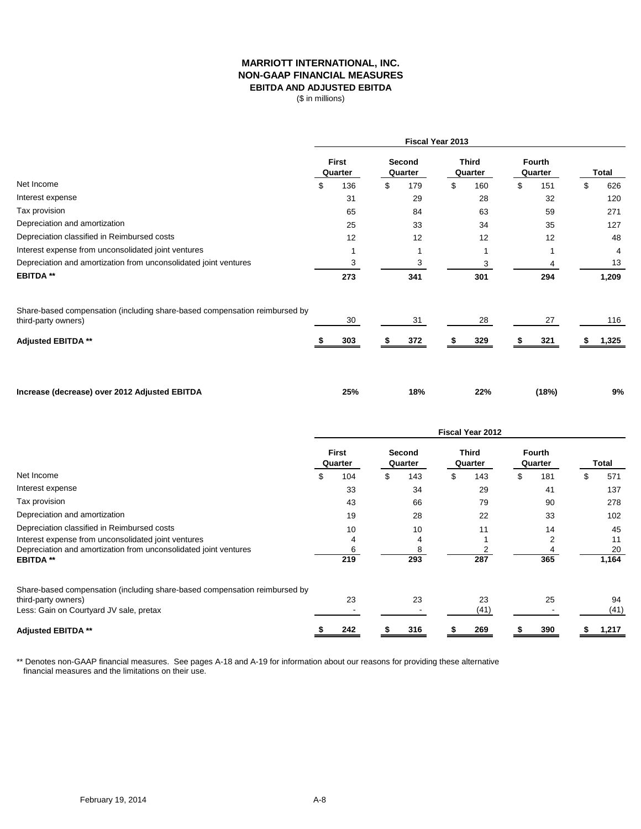### **MARRIOTT INTERNATIONAL, INC. NON-GAAP FINANCIAL MEASURES EBITDA AND ADJUSTED EBITDA**

(\$ in millions)

|                                                                                                   | Fiscal Year 2013 |                  |    |                   |    |                         |    |                          |           |
|---------------------------------------------------------------------------------------------------|------------------|------------------|----|-------------------|----|-------------------------|----|--------------------------|-----------|
|                                                                                                   |                  | First<br>Quarter |    | Second<br>Quarter |    | <b>Third</b><br>Quarter |    | <b>Fourth</b><br>Quarter | Total     |
| Net Income                                                                                        | \$               | 136              | \$ | 179               | \$ | 160                     | \$ | 151                      | \$<br>626 |
| Interest expense                                                                                  |                  | 31               |    | 29                |    | 28                      |    | 32                       | 120       |
| Tax provision                                                                                     |                  | 65               |    | 84                |    | 63                      |    | 59                       | 271       |
| Depreciation and amortization                                                                     |                  | 25               |    | 33                |    | 34                      |    | 35                       | 127       |
| Depreciation classified in Reimbursed costs                                                       |                  | 12               |    | 12                |    | 12                      |    | 12                       | 48        |
| Interest expense from unconsolidated joint ventures                                               |                  |                  |    |                   |    |                         |    |                          | 4         |
| Depreciation and amortization from unconsolidated joint ventures                                  |                  | 3                |    | 3                 |    | 3                       |    | 4                        | 13        |
| <b>EBITDA**</b>                                                                                   |                  | 273              |    | 341               |    | 301                     |    | 294                      | 1,209     |
| Share-based compensation (including share-based compensation reimbursed by<br>third-party owners) |                  | 30               |    | 31                |    | 28                      |    | 27                       | 116       |
| <b>Adjusted EBITDA **</b>                                                                         |                  | 303              |    | 372               |    | 329                     |    | 321                      | 1,325     |
| Increase (decrease) over 2012 Adjusted EBITDA                                                     |                  | 25%              |    | 18%               |    | 22%                     |    | (18%)                    | 9%        |

|                                                                            | <b>Fiscal Year 2012</b> |                         |   |                          |   |                         |    |                          |    |       |
|----------------------------------------------------------------------------|-------------------------|-------------------------|---|--------------------------|---|-------------------------|----|--------------------------|----|-------|
|                                                                            |                         | <b>First</b><br>Quarter |   | <b>Second</b><br>Quarter |   | <b>Third</b><br>Quarter |    | <b>Fourth</b><br>Quarter |    | Total |
| Net Income                                                                 | ъ                       | 104                     | S | 143                      | S | 143                     | S. | 181                      | \$ | 571   |
| Interest expense                                                           |                         | 33                      |   | 34                       |   | 29                      |    | 41                       |    | 137   |
| Tax provision                                                              |                         | 43                      |   | 66                       |   | 79                      |    | 90                       |    | 278   |
| Depreciation and amortization                                              |                         | 19                      |   | 28                       |   | 22                      |    | 33                       |    | 102   |
| Depreciation classified in Reimbursed costs                                |                         | 10                      |   | 10                       |   | 11                      |    | 14                       |    | 45    |
| Interest expense from unconsolidated joint ventures                        |                         |                         |   | 4                        |   |                         |    |                          |    | 11    |
| Depreciation and amortization from unconsolidated joint ventures           |                         |                         |   |                          |   |                         |    |                          |    | 20    |
| <b>EBITDA**</b>                                                            |                         | 219                     |   | 293                      |   | 287                     |    | 365                      |    | 1,164 |
| Share-based compensation (including share-based compensation reimbursed by |                         |                         |   |                          |   |                         |    |                          |    |       |
| third-party owners)                                                        |                         | 23                      |   | 23                       |   | 23                      |    | 25                       |    | 94    |
| Less: Gain on Courtyard JV sale, pretax                                    |                         |                         |   |                          |   | (41)                    |    |                          |    | (41)  |
| <b>Adjusted EBITDA **</b>                                                  |                         | 242                     |   | 316                      |   | 269                     |    | 390                      |    | 1,217 |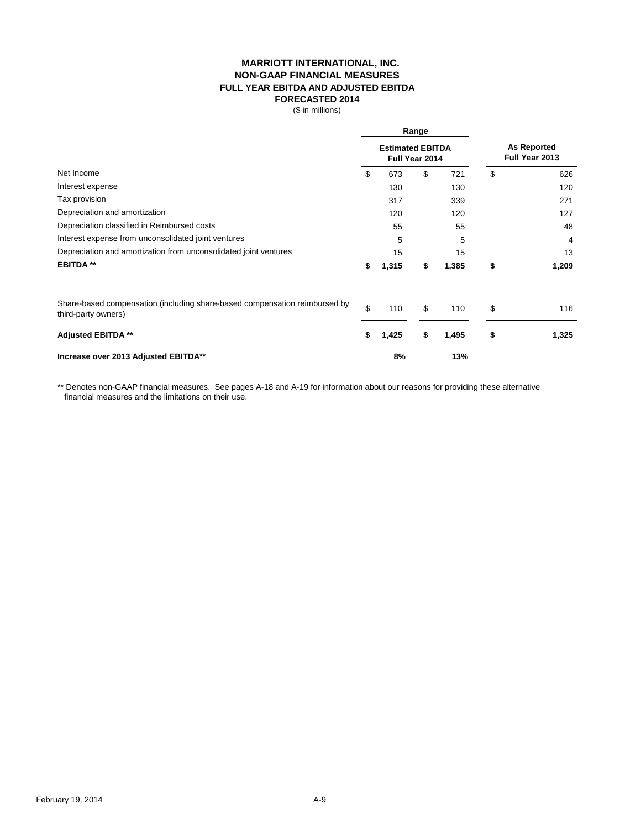### **MARRIOTT INTERNATIONAL, INC. NON-GAAP FINANCIAL MEASURES FULL YEAR EBITDA AND ADJUSTED EBITDA FORECASTED 2014**

(\$ in millions)

|                                                                                                   | Range |                                           |    |       |                                      |       |  |
|---------------------------------------------------------------------------------------------------|-------|-------------------------------------------|----|-------|--------------------------------------|-------|--|
|                                                                                                   |       | <b>Estimated EBITDA</b><br>Full Year 2014 |    |       | <b>As Reported</b><br>Full Year 2013 |       |  |
| Net Income                                                                                        | \$    | 673                                       | \$ | 721   | \$                                   | 626   |  |
| Interest expense                                                                                  |       | 130                                       |    | 130   |                                      | 120   |  |
| Tax provision                                                                                     |       | 317                                       |    | 339   |                                      | 271   |  |
| Depreciation and amortization                                                                     |       | 120                                       |    | 120   |                                      | 127   |  |
| Depreciation classified in Reimbursed costs                                                       |       | 55                                        |    | 55    |                                      | 48    |  |
| Interest expense from unconsolidated joint ventures                                               |       | 5                                         |    | 5     |                                      | 4     |  |
| Depreciation and amortization from unconsolidated joint ventures                                  |       | 15                                        |    | 15    |                                      | 13    |  |
| <b>EBITDA**</b>                                                                                   | \$    | 1,315                                     | \$ | 1,385 | \$                                   | 1,209 |  |
| Share-based compensation (including share-based compensation reimbursed by<br>third-party owners) | \$    | 110                                       | \$ | 110   | \$                                   | 116   |  |
| <b>Adjusted EBITDA **</b>                                                                         |       | 1,425                                     | \$ | 1,495 | \$                                   | 1,325 |  |
| Increase over 2013 Adjusted EBITDA**                                                              |       | 8%                                        |    | 13%   |                                      |       |  |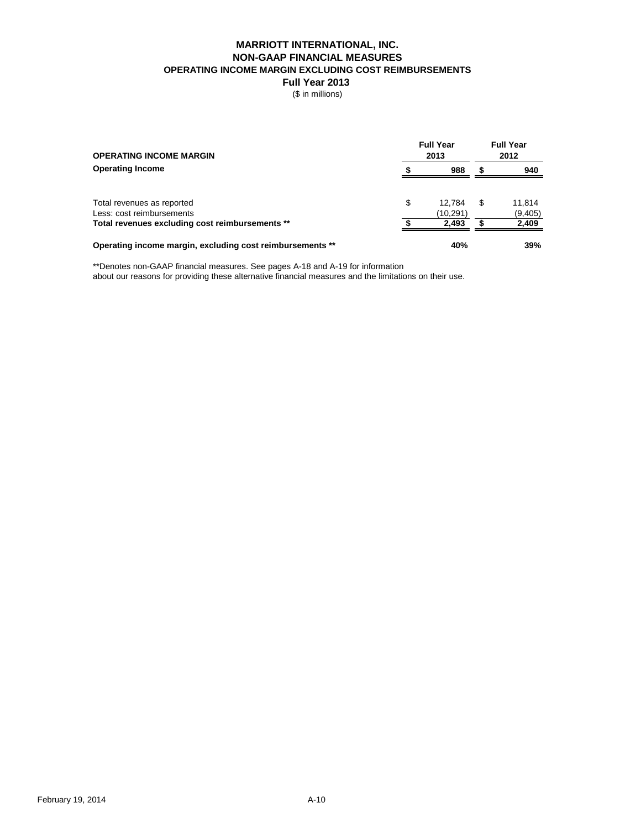### **MARRIOTT INTERNATIONAL, INC. NON-GAAP FINANCIAL MEASURES OPERATING INCOME MARGIN EXCLUDING COST REIMBURSEMENTS**

**Full Year 2013** 

(\$ in millions)

| <b>OPERATING INCOME MARGIN</b>                                               | <b>Full Year</b> | <b>Full Year</b><br>2012 |   |                  |
|------------------------------------------------------------------------------|------------------|--------------------------|---|------------------|
| <b>Operating Income</b>                                                      |                  | 988                      |   | 940              |
| Total revenues as reported                                                   | \$               | 12.784                   | S | 11.814           |
| Less: cost reimbursements<br>Total revenues excluding cost reimbursements ** |                  | (10, 291)<br>2.493       |   | (9,405)<br>2,409 |
| Operating income margin, excluding cost reimbursements **                    |                  | 40%                      |   | 39%              |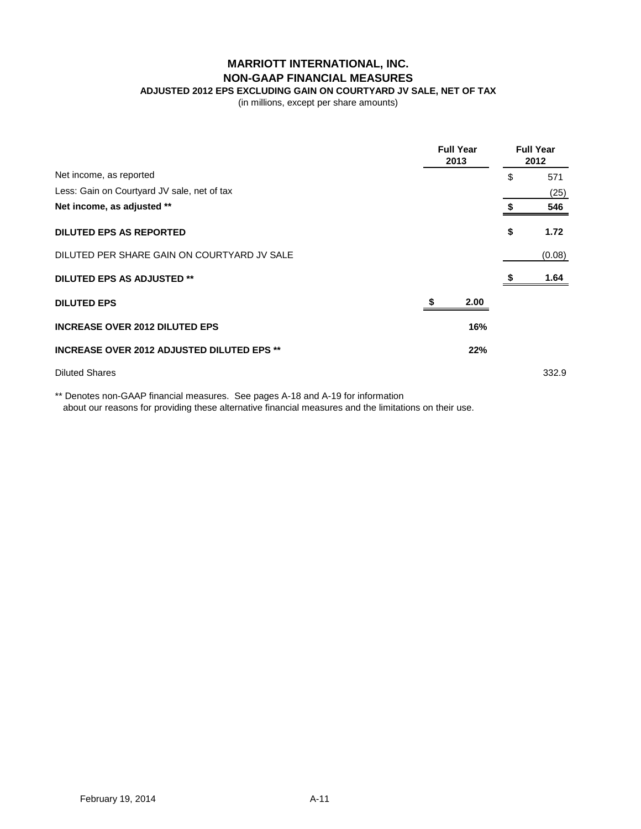# **MARRIOTT INTERNATIONAL, INC. NON-GAAP FINANCIAL MEASURES**

**ADJUSTED 2012 EPS EXCLUDING GAIN ON COURTYARD JV SALE, NET OF TAX**

(in millions, except per share amounts)

|                                                   | <b>Full Year</b><br>2013 | <b>Full Year</b><br>2012 |
|---------------------------------------------------|--------------------------|--------------------------|
| Net income, as reported                           |                          | \$<br>571                |
| Less: Gain on Courtyard JV sale, net of tax       |                          | (25)                     |
| Net income, as adjusted **                        |                          | 546                      |
| <b>DILUTED EPS AS REPORTED</b>                    |                          | \$<br>1.72               |
| DILUTED PER SHARE GAIN ON COURTYARD JV SALE       |                          | (0.08)                   |
| <b>DILUTED EPS AS ADJUSTED **</b>                 |                          | 1.64                     |
| <b>DILUTED EPS</b>                                | 2.00                     |                          |
| <b>INCREASE OVER 2012 DILUTED EPS</b>             | 16%                      |                          |
| <b>INCREASE OVER 2012 ADJUSTED DILUTED EPS **</b> | 22%                      |                          |
| <b>Diluted Shares</b>                             |                          | 332.9                    |
|                                                   |                          |                          |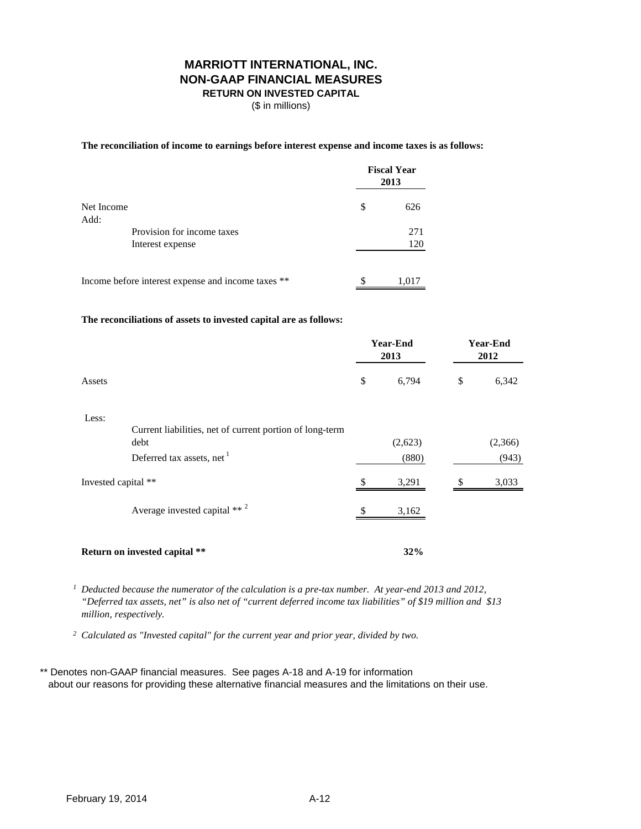## **MARRIOTT INTERNATIONAL, INC. NON-GAAP FINANCIAL MEASURES RETURN ON INVESTED CAPITAL**

(\$ in millions)

**The reconciliation of income to earnings before interest expense and income taxes is as follows:**

|                    |                                                    |     | <b>Fiscal Year</b><br>2013 |
|--------------------|----------------------------------------------------|-----|----------------------------|
| Net Income<br>Add: | \$                                                 | 626 |                            |
|                    | Provision for income taxes                         |     | 271<br>120                 |
| Interest expense   |                                                    |     |                            |
|                    | Income before interest expense and income taxes ** | S   | 1,017                      |

**The reconciliations of assets to invested capital are as follows:**

|        |                                                          | <b>Year-End</b><br>2013 |       | Year-End<br>2012 |       |
|--------|----------------------------------------------------------|-------------------------|-------|------------------|-------|
| Assets |                                                          | \$                      | 6,794 | \$               | 6,342 |
| Less:  | Current liabilities, net of current portion of long-term |                         |       |                  |       |

| debt<br>Deferred tax assets, net           | ັ<br>(2,623)<br>(880) | (2,366)<br>(943) |
|--------------------------------------------|-----------------------|------------------|
| Invested capital **                        | 3,291                 | S<br>3,033       |
| Average invested capital $**$ <sup>2</sup> | \$.<br>3,162          |                  |
| <b>Return on invested capital **</b>       | 32%                   |                  |

*1 Deducted because the numerator of the calculation is a pre-tax number. At year-end 2013 and 2012, "Deferred tax assets, net" is also net of "current deferred income tax liabilities" of \$19 million and \$13 million, respectively.*

*2 Calculated as "Invested capital" for the current year and prior year, divided by two.*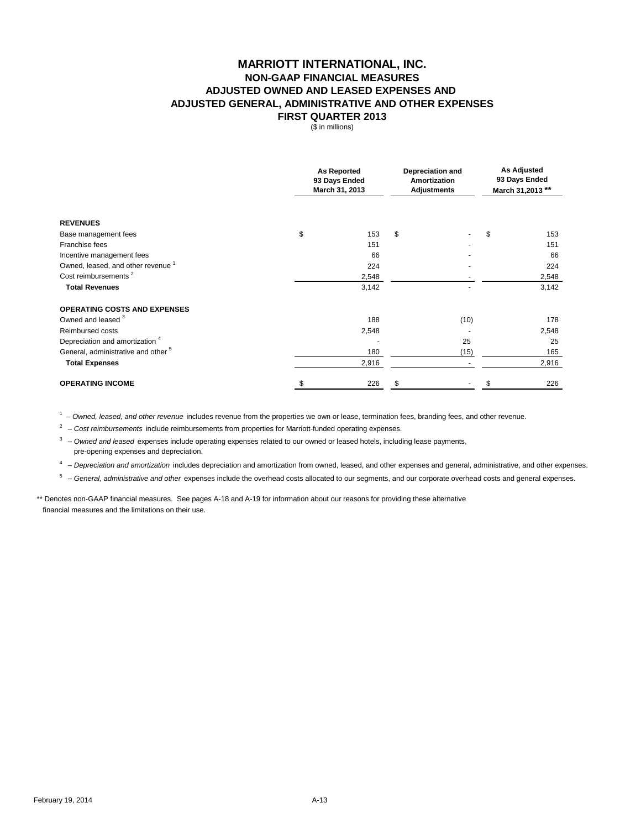### **MARRIOTT INTERNATIONAL, INC. NON-GAAP FINANCIAL MEASURES ADJUSTED OWNED AND LEASED EXPENSES AND FIRST QUARTER 2013 ADJUSTED GENERAL, ADMINISTRATIVE AND OTHER EXPENSES**

(\$ in millions)

|                                                | <b>As Reported</b><br>93 Days Ended<br>March 31, 2013 |       | <b>Depreciation and</b><br><b>Amortization</b><br><b>Adjustments</b> |      | <b>As Adjusted</b><br>93 Days Ended<br>March 31,2013 ** |       |
|------------------------------------------------|-------------------------------------------------------|-------|----------------------------------------------------------------------|------|---------------------------------------------------------|-------|
|                                                |                                                       |       |                                                                      |      |                                                         |       |
| <b>REVENUES</b>                                |                                                       |       |                                                                      |      |                                                         |       |
| Base management fees                           | \$                                                    | 153   | \$                                                                   |      | \$                                                      | 153   |
| Franchise fees                                 |                                                       | 151   |                                                                      |      |                                                         | 151   |
| Incentive management fees                      |                                                       | 66    |                                                                      |      |                                                         | 66    |
| Owned, leased, and other revenue <sup>1</sup>  |                                                       | 224   |                                                                      |      |                                                         | 224   |
| Cost reimbursements <sup>2</sup>               |                                                       | 2,548 |                                                                      |      |                                                         | 2,548 |
| <b>Total Revenues</b>                          |                                                       | 3,142 |                                                                      |      |                                                         | 3,142 |
| <b>OPERATING COSTS AND EXPENSES</b>            |                                                       |       |                                                                      |      |                                                         |       |
| Owned and leased 3                             |                                                       | 188   |                                                                      | (10) |                                                         | 178   |
| Reimbursed costs                               |                                                       | 2,548 |                                                                      |      |                                                         | 2,548 |
| Depreciation and amortization <sup>4</sup>     |                                                       |       |                                                                      | 25   |                                                         | 25    |
| General, administrative and other <sup>5</sup> |                                                       | 180   |                                                                      | (15) |                                                         | 165   |
| <b>Total Expenses</b>                          |                                                       | 2,916 |                                                                      |      |                                                         | 2,916 |
| <b>OPERATING INCOME</b>                        |                                                       | 226   | \$                                                                   |      |                                                         | 226   |

1 – *Owned, leased, and other revenue* includes revenue from the properties we own or lease, termination fees, branding fees, and other revenue.

<sup>2</sup> – *Cost reimbursements* include reimbursements from properties for Marriott-funded operating expenses.

<sup>3</sup> – Owned and leased expenses include operating expenses related to our owned or leased hotels, including lease payments, pre-opening expenses and depreciation.

4 – *Depreciation and amortization* includes depreciation and amortization from owned, leased, and other expenses and general, administrative, and other expenses.

5 – *General, administrative and other* expenses include the overhead costs allocated to our segments, and our corporate overhead costs and general expenses.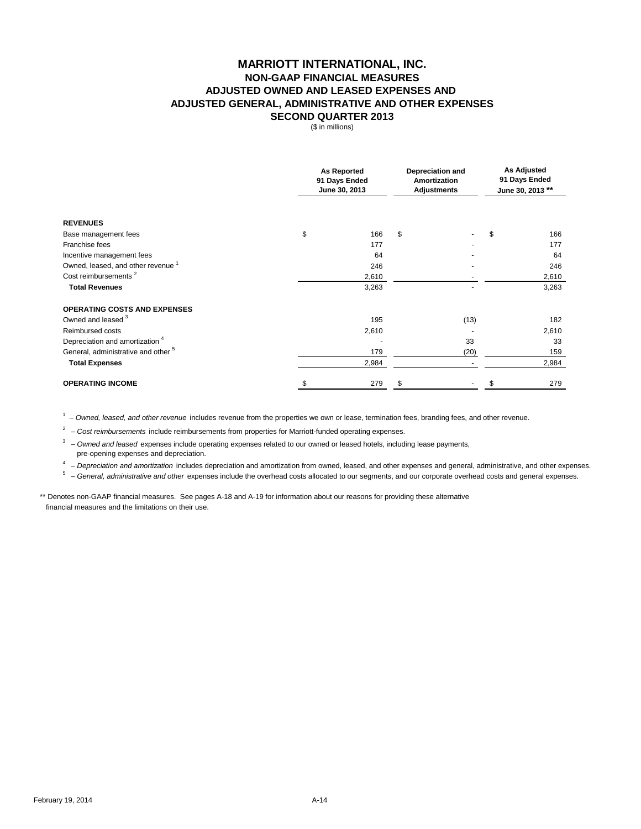### **MARRIOTT INTERNATIONAL, INC. NON-GAAP FINANCIAL MEASURES SECOND QUARTER 2013 ADJUSTED OWNED AND LEASED EXPENSES AND ADJUSTED GENERAL, ADMINISTRATIVE AND OTHER EXPENSES**

(\$ in millions)

|                                                | <b>As Reported</b><br>91 Days Ended<br>June 30, 2013 |       | <b>Depreciation and</b><br>Amortization<br><b>Adjustments</b> |      | <b>As Adjusted</b><br>91 Days Ended<br>June 30, 2013 ** |       |
|------------------------------------------------|------------------------------------------------------|-------|---------------------------------------------------------------|------|---------------------------------------------------------|-------|
| <b>REVENUES</b>                                |                                                      |       |                                                               |      |                                                         |       |
| Base management fees                           | \$                                                   | 166   | \$                                                            |      | \$                                                      | 166   |
| Franchise fees                                 |                                                      | 177   |                                                               |      |                                                         | 177   |
| Incentive management fees                      |                                                      | 64    |                                                               |      |                                                         | 64    |
| Owned, leased, and other revenue <sup>1</sup>  |                                                      | 246   |                                                               |      |                                                         | 246   |
| Cost reimbursements <sup>2</sup>               |                                                      | 2,610 |                                                               |      |                                                         | 2,610 |
| <b>Total Revenues</b>                          |                                                      | 3,263 |                                                               |      |                                                         | 3,263 |
| <b>OPERATING COSTS AND EXPENSES</b>            |                                                      |       |                                                               |      |                                                         |       |
| Owned and leased 3                             |                                                      | 195   |                                                               | (13) |                                                         | 182   |
| Reimbursed costs                               |                                                      | 2,610 |                                                               |      |                                                         | 2,610 |
| Depreciation and amortization <sup>4</sup>     |                                                      |       |                                                               | 33   |                                                         | 33    |
| General, administrative and other <sup>5</sup> |                                                      | 179   |                                                               | (20) |                                                         | 159   |
| <b>Total Expenses</b>                          |                                                      | 2,984 |                                                               |      |                                                         | 2,984 |
| <b>OPERATING INCOME</b>                        |                                                      | 279   |                                                               |      |                                                         | 279   |

1 – *Owned, leased, and other revenue* includes revenue from the properties we own or lease, termination fees, branding fees, and other revenue.

<sup>2</sup> – Cost reimbursements include reimbursements from properties for Marriott-funded operating expenses.

<sup>3</sup> – Owned and leased expenses include operating expenses related to our owned or leased hotels, including lease payments, pre-opening expenses and depreciation.

4 – *Depreciation and amortization* includes depreciation and amortization from owned, leased, and other expenses and general, administrative, and other expenses.

5 – *General, administrative and other* expenses include the overhead costs allocated to our segments, and our corporate overhead costs and general expenses.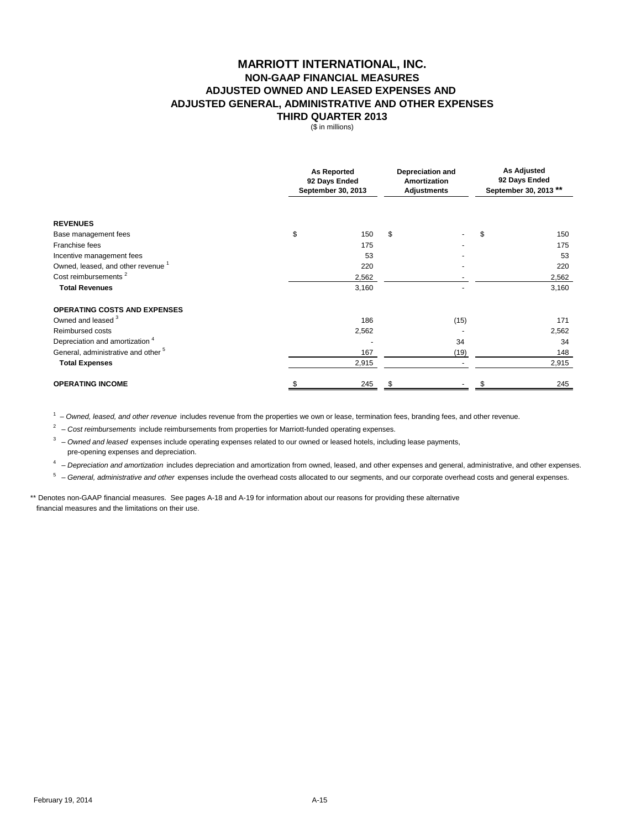### **MARRIOTT INTERNATIONAL, INC. NON-GAAP FINANCIAL MEASURES THIRD QUARTER 2013 ADJUSTED OWNED AND LEASED EXPENSES AND ADJUSTED GENERAL, ADMINISTRATIVE AND OTHER EXPENSES**

(\$ in millions)

|                                                | <b>As Reported</b><br>92 Days Ended<br>September 30, 2013 | Depreciation and<br><b>Amortization</b><br><b>Adjustments</b> |      | <b>As Adjusted</b><br>92 Days Ended<br>September 30, 2013 ** |  |
|------------------------------------------------|-----------------------------------------------------------|---------------------------------------------------------------|------|--------------------------------------------------------------|--|
| <b>REVENUES</b>                                |                                                           |                                                               |      |                                                              |  |
| Base management fees                           | \$<br>150                                                 | \$                                                            |      | \$<br>150                                                    |  |
| Franchise fees                                 | 175                                                       |                                                               |      | 175                                                          |  |
| Incentive management fees                      | 53                                                        |                                                               |      | 53                                                           |  |
| Owned, leased, and other revenue <sup>1</sup>  | 220                                                       |                                                               |      | 220                                                          |  |
| Cost reimbursements <sup>2</sup>               | 2,562                                                     |                                                               |      | 2,562                                                        |  |
| <b>Total Revenues</b>                          | 3,160                                                     |                                                               |      | 3,160                                                        |  |
| <b>OPERATING COSTS AND EXPENSES</b>            |                                                           |                                                               |      |                                                              |  |
| Owned and leased 3                             | 186                                                       |                                                               | (15) | 171                                                          |  |
| Reimbursed costs                               | 2,562                                                     |                                                               |      | 2,562                                                        |  |
| Depreciation and amortization <sup>4</sup>     |                                                           |                                                               | 34   | 34                                                           |  |
| General, administrative and other <sup>5</sup> | 167                                                       |                                                               | (19) | 148                                                          |  |
| <b>Total Expenses</b>                          | 2,915                                                     |                                                               |      | 2,915                                                        |  |
| <b>OPERATING INCOME</b>                        | 245                                                       |                                                               |      | 245                                                          |  |

1 – *Owned, leased, and other revenue* includes revenue from the properties we own or lease, termination fees, branding fees, and other revenue.

<sup>2</sup> – Cost reimbursements include reimbursements from properties for Marriott-funded operating expenses.

3 – *Owned and leased* expenses include operating expenses related to our owned or leased hotels, including lease payments, pre-opening expenses and depreciation.

4 – *Depreciation and amortization* includes depreciation and amortization from owned, leased, and other expenses and general, administrative, and other expenses.

5 – *General, administrative and other* expenses include the overhead costs allocated to our segments, and our corporate overhead costs and general expenses.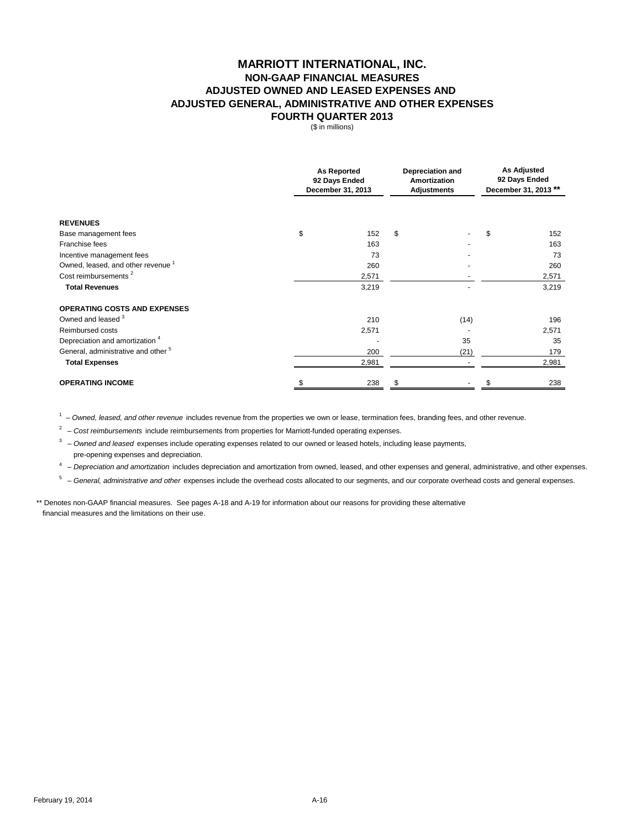### **MARRIOTT INTERNATIONAL, INC. NON-GAAP FINANCIAL MEASURES FOURTH QUARTER 2013 ADJUSTED OWNED AND LEASED EXPENSES AND ADJUSTED GENERAL, ADMINISTRATIVE AND OTHER EXPENSES**

(\$ in millions)

|                                                | <b>As Reported</b><br>92 Days Ended<br>December 31, 2013 |       | <b>Depreciation and</b><br>Amortization<br><b>Adjustments</b> |      | <b>As Adjusted</b><br>92 Days Ended<br>December 31, 2013 ** |       |
|------------------------------------------------|----------------------------------------------------------|-------|---------------------------------------------------------------|------|-------------------------------------------------------------|-------|
| <b>REVENUES</b>                                |                                                          |       |                                                               |      |                                                             |       |
| Base management fees                           | \$                                                       | 152   | \$                                                            |      | \$                                                          | 152   |
| Franchise fees                                 |                                                          | 163   |                                                               |      |                                                             | 163   |
| Incentive management fees                      |                                                          | 73    |                                                               |      |                                                             | 73    |
| Owned, leased, and other revenue <sup>1</sup>  |                                                          | 260   |                                                               |      |                                                             | 260   |
| Cost reimbursements <sup>2</sup>               |                                                          | 2,571 |                                                               |      |                                                             | 2,571 |
| <b>Total Revenues</b>                          |                                                          | 3,219 |                                                               |      |                                                             | 3,219 |
| <b>OPERATING COSTS AND EXPENSES</b>            |                                                          |       |                                                               |      |                                                             |       |
| Owned and leased 3                             |                                                          | 210   |                                                               | (14) |                                                             | 196   |
| Reimbursed costs                               |                                                          | 2,571 |                                                               |      |                                                             | 2,571 |
| Depreciation and amortization <sup>4</sup>     |                                                          |       |                                                               | 35   |                                                             | 35    |
| General, administrative and other <sup>5</sup> |                                                          | 200   |                                                               | (21) |                                                             | 179   |
| <b>Total Expenses</b>                          |                                                          | 2,981 |                                                               |      |                                                             | 2,981 |
| <b>OPERATING INCOME</b>                        |                                                          | 238   |                                                               |      |                                                             | 238   |

1 – *Owned, leased, and other revenue* includes revenue from the properties we own or lease, termination fees, branding fees, and other revenue.

<sup>2</sup> – Cost reimbursements include reimbursements from properties for Marriott-funded operating expenses.

<sup>3</sup> – Owned and leased expenses include operating expenses related to our owned or leased hotels, including lease payments, pre-opening expenses and depreciation.

4 – *Depreciation and amortization* includes depreciation and amortization from owned, leased, and other expenses and general, administrative, and other expenses.

5 – *General, administrative and other* expenses include the overhead costs allocated to our segments, and our corporate overhead costs and general expenses.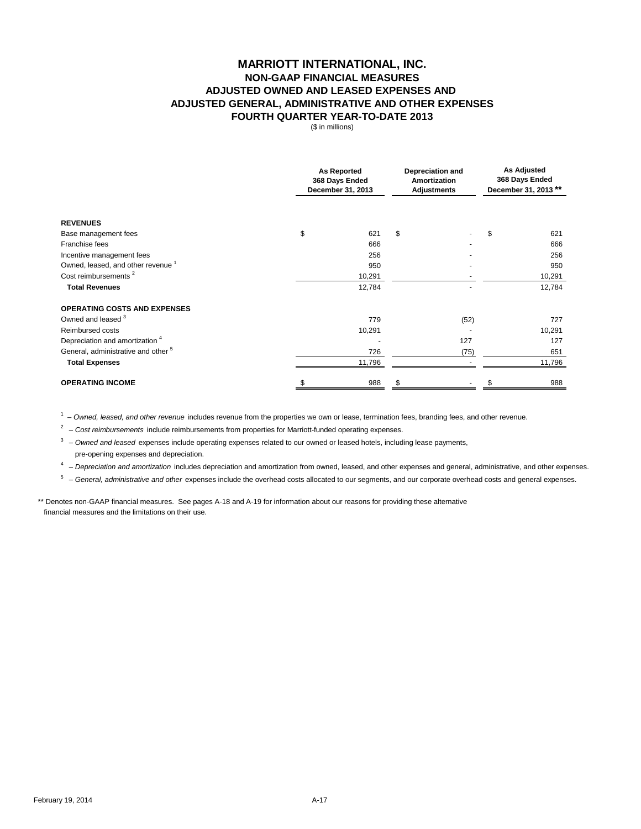## **MARRIOTT INTERNATIONAL, INC. NON-GAAP FINANCIAL MEASURES FOURTH QUARTER YEAR-TO-DATE 2013 ADJUSTED OWNED AND LEASED EXPENSES AND ADJUSTED GENERAL, ADMINISTRATIVE AND OTHER EXPENSES**

(\$ in millions)

|                                                | <b>As Reported</b><br>368 Days Ended<br>December 31, 2013 |        | Depreciation and<br>Amortization<br><b>Adjustments</b> |      | <b>As Adjusted</b><br>368 Days Ended<br>December 31, 2013 ** |        |
|------------------------------------------------|-----------------------------------------------------------|--------|--------------------------------------------------------|------|--------------------------------------------------------------|--------|
| <b>REVENUES</b>                                |                                                           |        |                                                        |      |                                                              |        |
| Base management fees                           | \$                                                        | 621    | \$                                                     |      | \$                                                           | 621    |
| Franchise fees                                 |                                                           | 666    |                                                        |      |                                                              | 666    |
| Incentive management fees                      |                                                           | 256    |                                                        |      |                                                              | 256    |
| Owned, leased, and other revenue <sup>1</sup>  |                                                           | 950    |                                                        |      |                                                              | 950    |
| Cost reimbursements <sup>2</sup>               |                                                           | 10,291 |                                                        |      |                                                              | 10,291 |
| <b>Total Revenues</b>                          |                                                           | 12,784 |                                                        |      |                                                              | 12,784 |
| <b>OPERATING COSTS AND EXPENSES</b>            |                                                           |        |                                                        |      |                                                              |        |
| Owned and leased 3                             |                                                           | 779    |                                                        | (52) |                                                              | 727    |
| Reimbursed costs                               |                                                           | 10,291 |                                                        |      |                                                              | 10,291 |
| Depreciation and amortization <sup>4</sup>     |                                                           |        |                                                        | 127  |                                                              | 127    |
| General, administrative and other <sup>5</sup> |                                                           | 726    |                                                        | (75) |                                                              | 651    |
| <b>Total Expenses</b>                          |                                                           | 11,796 |                                                        |      |                                                              | 11,796 |
| <b>OPERATING INCOME</b>                        |                                                           | 988    |                                                        |      |                                                              | 988    |

1 – *Owned, leased, and other revenue* includes revenue from the properties we own or lease, termination fees, branding fees, and other revenue.

<sup>2</sup> – *Cost reimbursements* include reimbursements from properties for Marriott-funded operating expenses.

3 – *Owned and leased* expenses include operating expenses related to our owned or leased hotels, including lease payments, pre-opening expenses and depreciation.

4 – *Depreciation and amortization* includes depreciation and amortization from owned, leased, and other expenses and general, administrative, and other expenses.

5 – *General, administrative and other* expenses include the overhead costs allocated to our segments, and our corporate overhead costs and general expenses.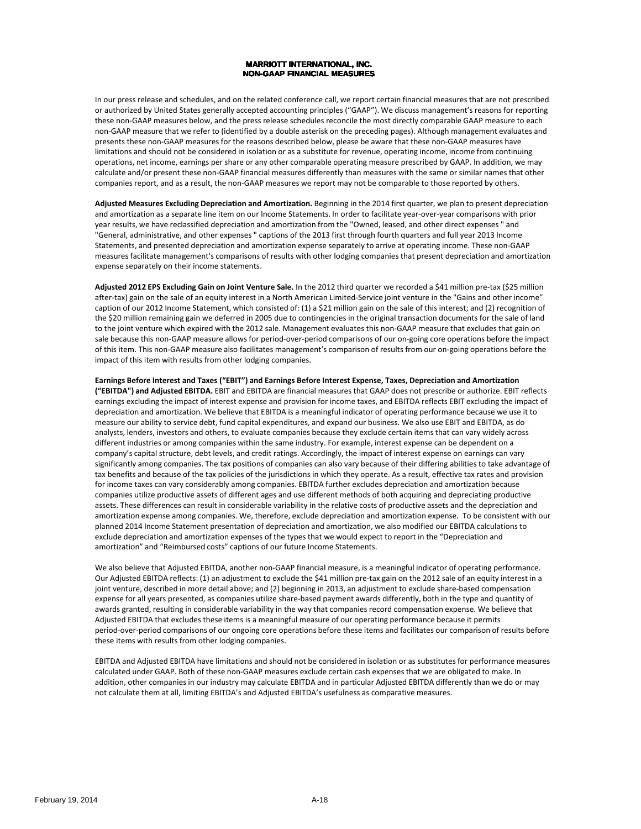#### **MARRIOTT INTERNATIONAL, INC. NON-GAAP FINANCIAL MEASURES MEASURES**

In our press release and schedules, and on the related conference call, we report certain financial measures that are not prescribed or authorized by United States generally accepted accounting principles ("GAAP"). We discuss management's reasons for reporting these non‐GAAP measures below, and the press release schedules reconcile the most directly comparable GAAP measure to each non‐GAAP measure that we refer to (identified by a double asterisk on the preceding pages). Although management evaluates and presents these non‐GAAP measures for the reasons described below, please be aware that these non‐GAAP measures have limitations and should not be considered in isolation or as a substitute for revenue, operating income, income from continuing operations, net income, earnings per share or any other comparable operating measure prescribed by GAAP. In addition, we may calculate and/or present these non‐GAAP financial measures differently than measures with the same or similar names that other companies report, and as a result, the non‐GAAP measures we report may not be comparable to those reported by others.

**Adjusted Measures Excluding Depreciation and Amortization.** Beginning in the 2014 first quarter, we plan to present depreciation and amortization as a separate line item on our Income Statements. In order to facilitate year‐over‐year comparisons with prior year results, we have reclassified depreciation and amortization from the "Owned, leased, and other direct expenses " and "General, administrative, and other expenses " captions of the 2013 first through fourth quarters and full year 2013 Income Statements, and presented depreciation and amortization expense separately to arrive at operating income. These non‐GAAP measures facilitate management's comparisons of results with other lodging companies that present depreciation and amortization expense separately on their income statements.

**Adjusted 2012 EPS Excluding Gain on Joint Venture Sale.** In the 2012 third quarter we recorded a \$41 million pre‐tax (\$25 million after-tax) gain on the sale of an equity interest in a North American Limited-Service joint venture in the "Gains and other income" caption of our 2012 Income Statement, which consisted of: (1) a \$21 million gain on the sale of this interest; and (2) recognition of the \$20 million remaining gain we deferred in 2005 due to contingencies in the original transaction documents for the sale of land to the joint venture which expired with the 2012 sale. Management evaluates this non-GAAP measure that excludes that gain on sale because this non-GAAP measure allows for period-over-period comparisons of our on-going core operations before the impact of this item. This non‐GAAP measure also facilitates management's comparison of results from our on‐going operations before the impact of this item with results from other lodging companies.

**Earnings Before Interest and Taxes ("EBIT") and Earnings Before Interest Expense, Taxes, Depreciation and Amortization ("EBITDA") and Adjusted EBITDA.** EBIT and EBITDA are financial measures that GAAP does not prescribe or authorize. EBIT reflects earnings excluding the impact of interest expense and provision for income taxes, and EBITDA reflects EBIT excluding the impact of depreciation and amortization. We believe that EBITDA is a meaningful indicator of operating performance because we use it to measure our ability to service debt, fund capital expenditures, and expand our business. We also use EBIT and EBITDA, as do analysts, lenders, investors and others, to evaluate companies because they exclude certain items that can vary widely across different industries or among companies within the same industry. For example, interest expense can be dependent on a company's capital structure, debt levels, and credit ratings. Accordingly, the impact of interest expense on earnings can vary significantly among companies. The tax positions of companies can also vary because of their differing abilities to take advantage of tax benefits and because of the tax policies of the jurisdictions in which they operate. As a result, effective tax rates and provision for income taxes can vary considerably among companies. EBITDA further excludes depreciation and amortization because companies utilize productive assets of different ages and use different methods of both acquiring and depreciating productive assets. These differences can result in considerable variability in the relative costs of productive assets and the depreciation and amortization expense among companies. We, therefore, exclude depreciation and amortization expense. To be consistent with our planned 2014 Income Statement presentation of depreciation and amortization, we also modified our EBITDA calculations to exclude depreciation and amortization expenses of the types that we would expect to report in the "Depreciation and amortization" and "Reimbursed costs" captions of our future Income Statements.

We also believe that Adjusted EBITDA, another non‐GAAP financial measure, is a meaningful indicator of operating performance. Our Adjusted EBITDA reflects: (1) an adjustment to exclude the \$41 million pre‐tax gain on the 2012 sale of an equity interest in a joint venture, described in more detail above; and (2) beginning in 2013, an adjustment to exclude share-based compensation expense for all years presented, as companies utilize share‐based payment awards differently, both in the type and quantity of awards granted, resulting in considerable variability in the way that companies record compensation expense. We believe that Adjusted EBITDA that excludes these items is a meaningful measure of our operating performance because it permits period‐over‐period comparisons of our ongoing core operations before these items and facilitates our comparison of results before these items with results from other lodging companies.

EBITDA and Adjusted EBITDA have limitations and should not be considered in isolation or as substitutes for performance measures calculated under GAAP. Both of these non‐GAAP measures exclude certain cash expenses that we are obligated to make. In addition, other companies in our industry may calculate EBITDA and in particular Adjusted EBITDA differently than we do or may not calculate them at all, limiting EBITDA's and Adjusted EBITDA's usefulness as comparative measures.